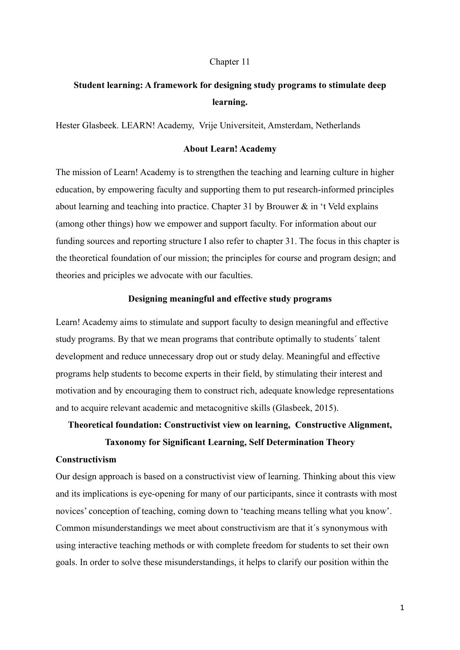#### Chapter 11

# **Student learning: A framework for designing study programs to stimulate deep learning.**

Hester Glasbeek. LEARN! Academy, Vrije Universiteit, Amsterdam, Netherlands

# **About Learn! Academy**

The mission of Learn! Academy is to strengthen the teaching and learning culture in higher education, by empowering faculty and supporting them to put research-informed principles about learning and teaching into practice. Chapter 31 by Brouwer & in 't Veld explains (among other things) how we empower and support faculty. For information about our funding sources and reporting structure I also refer to chapter 31. The focus in this chapter is the theoretical foundation of our mission; the principles for course and program design; and theories and priciples we advocate with our faculties.

#### **Designing meaningful and effective study programs**

Learn! Academy aims to stimulate and support faculty to design meaningful and effective study programs. By that we mean programs that contribute optimally to students´ talent development and reduce unnecessary drop out or study delay. Meaningful and effective programs help students to become experts in their field, by stimulating their interest and motivation and by encouraging them to construct rich, adequate knowledge representations and to acquire relevant academic and metacognitive skills (Glasbeek, 2015).

# **Theoretical foundation: Constructivist view on learning, Constructive Alignment,**

## **Taxonomy for Significant Learning, Self Determination Theory**

## **Constructivism**

Our design approach is based on a constructivist view of learning. Thinking about this view and its implications is eye-opening for many of our participants, since it contrasts with most novices' conception of teaching, coming down to 'teaching means telling what you know'. Common misunderstandings we meet about constructivism are that it´s synonymous with using interactive teaching methods or with complete freedom for students to set their own goals. In order to solve these misunderstandings, it helps to clarify our position within the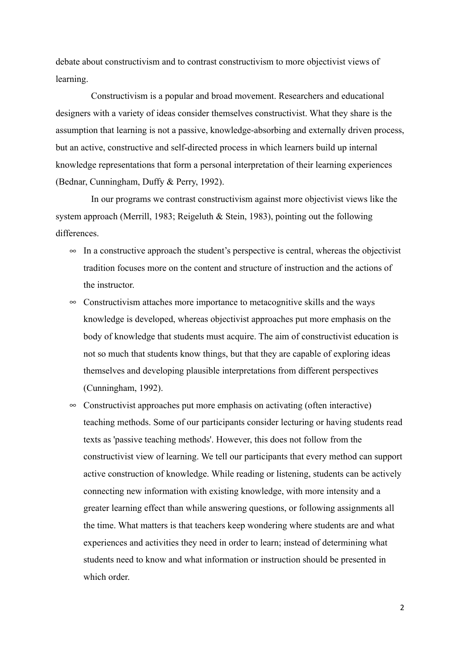debate about constructivism and to contrast constructivism to more objectivist views of learning.

 Constructivism is a popular and broad movement. Researchers and educational designers with a variety of ideas consider themselves constructivist. What they share is the assumption that learning is not a passive, knowledge-absorbing and externally driven process, but an active, constructive and self-directed process in which learners build up internal knowledge representations that form a personal interpretation of their learning experiences (Bednar, Cunningham, Duffy & Perry, 1992).

In our programs we contrast constructivism against more objectivist views like the system approach (Merrill, 1983; Reigeluth & Stein, 1983), pointing out the following differences.

- $\infty$  In a constructive approach the student's perspective is central, whereas the objectivist tradition focuses more on the content and structure of instruction and the actions of the instructor.
- $\infty$  Constructivism attaches more importance to metacognitive skills and the ways knowledge is developed, whereas objectivist approaches put more emphasis on the body of knowledge that students must acquire. The aim of constructivist education is not so much that students know things, but that they are capable of exploring ideas themselves and developing plausible interpretations from different perspectives (Cunningham, 1992).
- $\infty$  Constructivist approaches put more emphasis on activating (often interactive) teaching methods. Some of our participants consider lecturing or having students read texts as 'passive teaching methods'. However, this does not follow from the constructivist view of learning. We tell our participants that every method can support active construction of knowledge. While reading or listening, students can be actively connecting new information with existing knowledge, with more intensity and a greater learning effect than while answering questions, or following assignments all the time. What matters is that teachers keep wondering where students are and what experiences and activities they need in order to learn; instead of determining what students need to know and what information or instruction should be presented in which order.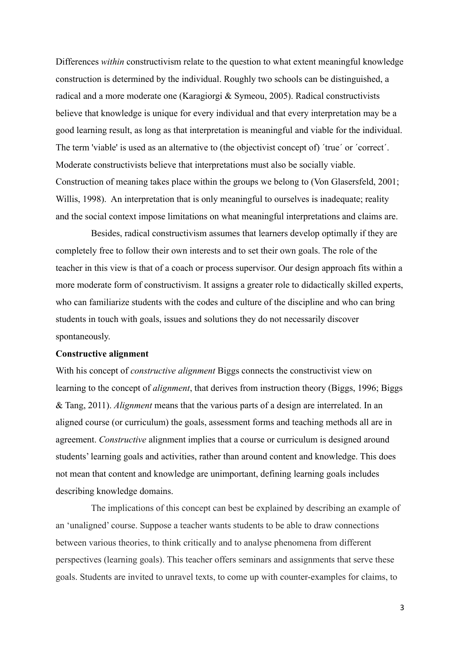Differences *within* constructivism relate to the question to what extent meaningful knowledge construction is determined by the individual. Roughly two schools can be distinguished, a radical and a more moderate one (Karagiorgi & Symeou, 2005). Radical constructivists believe that knowledge is unique for every individual and that every interpretation may be a good learning result, as long as that interpretation is meaningful and viable for the individual. The term 'viable' is used as an alternative to (the objectivist concept of) ´true´ or ´correct´. Moderate constructivists believe that interpretations must also be socially viable. Construction of meaning takes place within the groups we belong to (Von Glasersfeld, 2001; Willis, 1998). An interpretation that is only meaningful to ourselves is inadequate; reality and the social context impose limitations on what meaningful interpretations and claims are.

 Besides, radical constructivism assumes that learners develop optimally if they are completely free to follow their own interests and to set their own goals. The role of the teacher in this view is that of a coach or process supervisor. Our design approach fits within a more moderate form of constructivism. It assigns a greater role to didactically skilled experts, who can familiarize students with the codes and culture of the discipline and who can bring students in touch with goals, issues and solutions they do not necessarily discover spontaneously.

#### **Constructive alignment**

With his concept of *constructive alignment* Biggs connects the constructivist view on learning to the concept of *alignment*, that derives from instruction theory (Biggs, 1996; Biggs & Tang, 2011). *Alignment* means that the various parts of a design are interrelated. In an aligned course (or curriculum) the goals, assessment forms and teaching methods all are in agreement. *Constructive* alignment implies that a course or curriculum is designed around students' learning goals and activities, rather than around content and knowledge. This does not mean that content and knowledge are unimportant, defining learning goals includes describing knowledge domains.

 The implications of this concept can best be explained by describing an example of an 'unaligned' course. Suppose a teacher wants students to be able to draw connections between various theories, to think critically and to analyse phenomena from different perspectives (learning goals). This teacher offers seminars and assignments that serve these goals. Students are invited to unravel texts, to come up with counter-examples for claims, to

3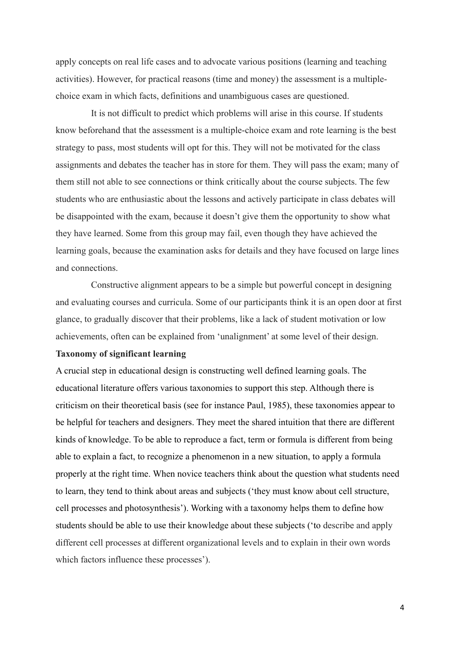apply concepts on real life cases and to advocate various positions (learning and teaching activities). However, for practical reasons (time and money) the assessment is a multiplechoice exam in which facts, definitions and unambiguous cases are questioned.

 It is not difficult to predict which problems will arise in this course. If students know beforehand that the assessment is a multiple-choice exam and rote learning is the best strategy to pass, most students will opt for this. They will not be motivated for the class assignments and debates the teacher has in store for them. They will pass the exam; many of them still not able to see connections or think critically about the course subjects. The few students who are enthusiastic about the lessons and actively participate in class debates will be disappointed with the exam, because it doesn't give them the opportunity to show what they have learned. Some from this group may fail, even though they have achieved the learning goals, because the examination asks for details and they have focused on large lines and connections.

 Constructive alignment appears to be a simple but powerful concept in designing and evaluating courses and curricula. Some of our participants think it is an open door at first glance, to gradually discover that their problems, like a lack of student motivation or low achievements, often can be explained from 'unalignment' at some level of their design.

# **Taxonomy of significant learning**

A crucial step in educational design is constructing well defined learning goals. The educational literature offers various taxonomies to support this step. Although there is criticism on their theoretical basis (see for instance Paul, 1985), these taxonomies appear to be helpful for teachers and designers. They meet the shared intuition that there are different kinds of knowledge. To be able to reproduce a fact, term or formula is different from being able to explain a fact, to recognize a phenomenon in a new situation, to apply a formula properly at the right time. When novice teachers think about the question what students need to learn, they tend to think about areas and subjects ('they must know about cell structure, cell processes and photosynthesis'). Working with a taxonomy helps them to define how students should be able to use their knowledge about these subjects ('to describe and apply different cell processes at different organizational levels and to explain in their own words which factors influence these processes').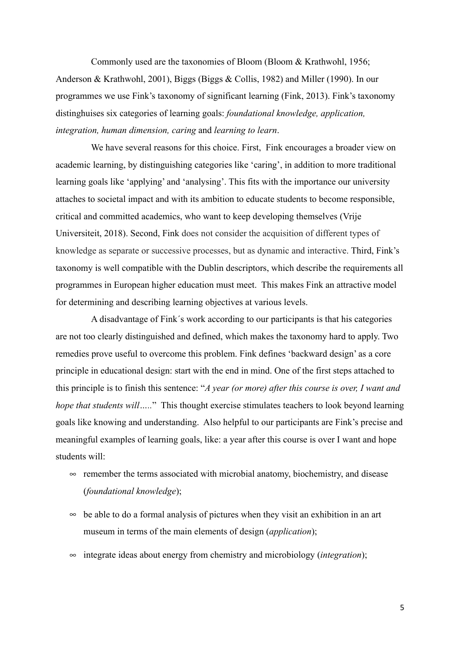Commonly used are the taxonomies of Bloom (Bloom & Krathwohl, 1956; Anderson & Krathwohl, 2001), Biggs (Biggs & Collis, 1982) and Miller (1990). In our programmes we use Fink's taxonomy of significant learning (Fink, 2013). Fink's taxonomy distinghuises six categories of learning goals: *foundational knowledge, application, integration, human dimension, caring* and *learning to learn*.

 We have several reasons for this choice. First, Fink encourages a broader view on academic learning, by distinguishing categories like 'caring', in addition to more traditional learning goals like 'applying' and 'analysing'. This fits with the importance our university attaches to societal impact and with its ambition to educate students to become responsible, critical and committed academics, who want to keep developing themselves (Vrije Universiteit, 2018). Second, Fink does not consider the acquisition of different types of knowledge as separate or successive processes, but as dynamic and interactive. Third, Fink's taxonomy is well compatible with the Dublin descriptors, which describe the requirements all programmes in European higher education must meet. This makes Fink an attractive model for determining and describing learning objectives at various levels.

 A disadvantage of Fink´s work according to our participants is that his categories are not too clearly distinguished and defined, which makes the taxonomy hard to apply. Two remedies prove useful to overcome this problem. Fink defines 'backward design' as a core principle in educational design: start with the end in mind. One of the first steps attached to this principle is to finish this sentence: "*A year (or more) after this course is over, I want and hope that students will* ....." This thought exercise stimulates teachers to look beyond learning goals like knowing and understanding. Also helpful to our participants are Fink's precise and meaningful examples of learning goals, like: a year after this course is over I want and hope students will:

- $\infty$  remember the terms associated with microbial anatomy, biochemistry, and disease (*foundational knowledge*);
- $\infty$  be able to do a formal analysis of pictures when they visit an exhibition in an art museum in terms of the main elements of design (*application*);
- $\infty$  integrate ideas about energy from chemistry and microbiology *(integration)*;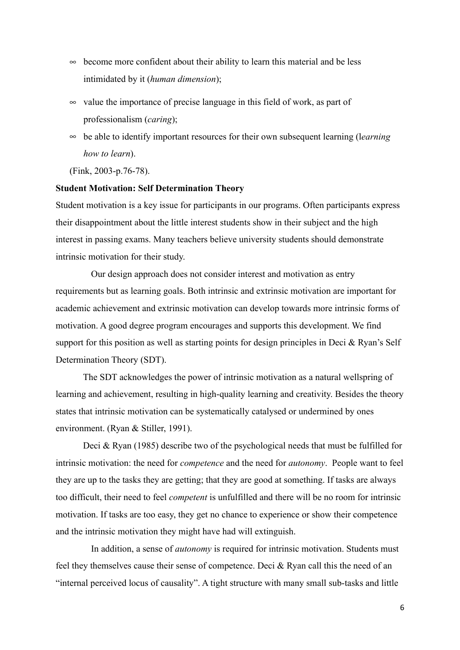- $\infty$  become more confident about their ability to learn this material and be less intimidated by it (*human dimension*);
- $\infty$  value the importance of precise language in this field of work, as part of professionalism (*caring*);
- $\infty$  be able to identify important resources for their own subsequent learning (learning *how to learn*).

(Fink, 2003-p.76-78).

## **Student Motivation: Self Determination Theory**

Student motivation is a key issue for participants in our programs. Often participants express their disappointment about the little interest students show in their subject and the high interest in passing exams. Many teachers believe university students should demonstrate intrinsic motivation for their study.

 Our design approach does not consider interest and motivation as entry requirements but as learning goals. Both intrinsic and extrinsic motivation are important for academic achievement and extrinsic motivation can develop towards more intrinsic forms of motivation. A good degree program encourages and supports this development. We find support for this position as well as starting points for design principles in Deci & Ryan's Self Determination Theory (SDT).

The SDT acknowledges the power of intrinsic motivation as a natural wellspring of learning and achievement, resulting in high-quality learning and creativity. Besides the theory states that intrinsic motivation can be systematically catalysed or undermined by ones environment. (Ryan & Stiller, 1991).

Deci & Ryan (1985) describe two of the psychological needs that must be fulfilled for intrinsic motivation: the need for *competence* and the need for *autonomy*. People want to feel they are up to the tasks they are getting; that they are good at something. If tasks are always too difficult, their need to feel *competent* is unfulfilled and there will be no room for intrinsic motivation. If tasks are too easy, they get no chance to experience or show their competence and the intrinsic motivation they might have had will extinguish.

 In addition, a sense of *autonomy* is required for intrinsic motivation. Students must feel they themselves cause their sense of competence. Deci & Ryan call this the need of an "internal perceived locus of causality". A tight structure with many small sub-tasks and little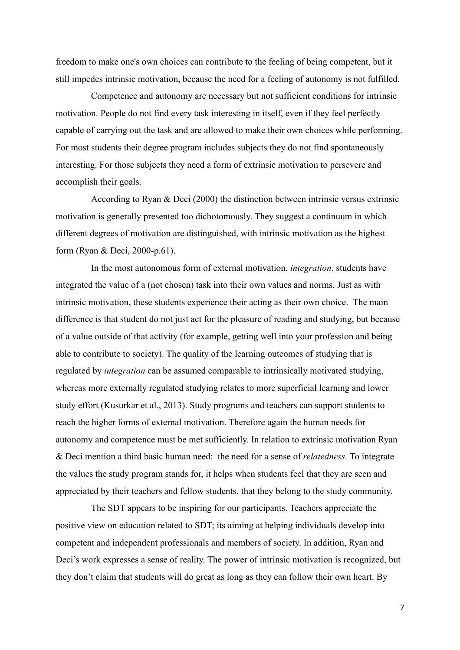freedom to make one's own choices can contribute to the feeling of being competent, but it still impedes intrinsic motivation, because the need for a feeling of autonomy is not fulfilled.

 Competence and autonomy are necessary but not sufficient conditions for intrinsic motivation. People do not find every task interesting in itself, even if they feel perfectly capable of carrying out the task and are allowed to make their own choices while performing. For most students their degree program includes subjects they do not find spontaneously interesting. For those subjects they need a form of extrinsic motivation to persevere and accomplish their goals.

 According to Ryan & Deci (2000) the distinction between intrinsic versus extrinsic motivation is generally presented too dichotomously. They suggest a continuum in which different degrees of motivation are distinguished, with intrinsic motivation as the highest form (Ryan & Deci, 2000-p.61).

 In the most autonomous form of external motivation, *integration*, students have integrated the value of a (not chosen) task into their own values and norms. Just as with intrinsic motivation, these students experience their acting as their own choice. The main difference is that student do not just act for the pleasure of reading and studying, but because of a value outside of that activity (for example, getting well into your profession and being able to contribute to society). The quality of the learning outcomes of studying that is regulated by *integration* can be assumed comparable to intrinsically motivated studying, whereas more externally regulated studying relates to more superficial learning and lower study effort (Kusurkar et al., 2013). Study programs and teachers can support students to reach the higher forms of external motivation. Therefore again the human needs for autonomy and competence must be met sufficiently. In relation to extrinsic motivation Ryan & Deci mention a third basic human need: the need for a sense of *relatedness.* To integrate the values the study program stands for, it helps when students feel that they are seen and appreciated by their teachers and fellow students, that they belong to the study community.

 The SDT appears to be inspiring for our participants. Teachers appreciate the positive view on education related to SDT; its aiming at helping individuals develop into competent and independent professionals and members of society. In addition, Ryan and Deci's work expresses a sense of reality. The power of intrinsic motivation is recognized, but they don't claim that students will do great as long as they can follow their own heart. By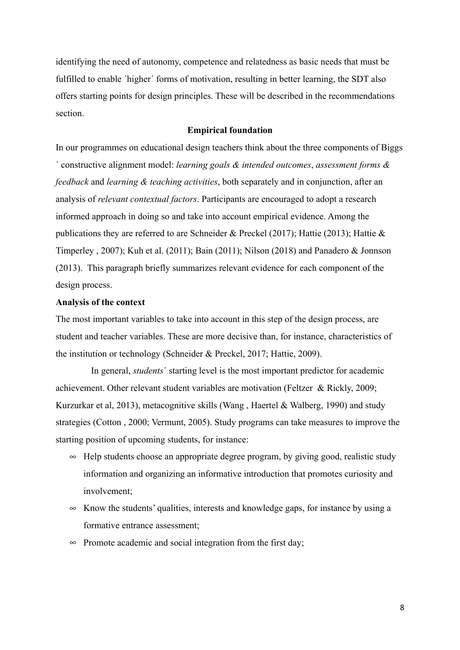identifying the need of autonomy, competence and relatedness as basic needs that must be fulfilled to enable 'higher' forms of motivation, resulting in better learning, the SDT also offers starting points for design principles. These will be described in the recommendations section.

# **Empirical foundation**

In our programmes on educational design teachers think about the three components of Biggs ´ constructive alignment model: *learning goals & intended outcomes*, *assessment forms & feedback* and *learning & teaching activities*, both separately and in conjunction, after an analysis of *relevant contextual factors*. Participants are encouraged to adopt a research informed approach in doing so and take into account empirical evidence. Among the publications they are referred to are Schneider & Preckel (2017); Hattie (2013); Hattie & Timperley , 2007); Kuh et al. (2011); Bain (2011); Nilson (2018) and Panadero & Jonnson (2013). This paragraph briefly summarizes relevant evidence for each component of the design process.

## **Analysis of the context**

The most important variables to take into account in this step of the design process, are student and teacher variables. These are more decisive than, for instance, characteristics of the institution or technology (Schneider & Preckel, 2017; Hattie, 2009).

 In general, *students*´ starting level is the most important predictor for academic achievement. Other relevant student variables are motivation (Feltzer & Rickly, 2009; Kurzurkar et al, 2013), metacognitive skills (Wang , Haertel & Walberg, 1990) and study strategies (Cotton , 2000; Vermunt, 2005). Study programs can take measures to improve the starting position of upcoming students, for instance:

- $\sim$  Help students choose an appropriate degree program, by giving good, realistic study information and organizing an informative introduction that promotes curiosity and involvement;
- $\infty$  Know the students' qualities, interests and knowledge gaps, for instance by using a formative entrance assessment;
- $\infty$  Promote academic and social integration from the first day;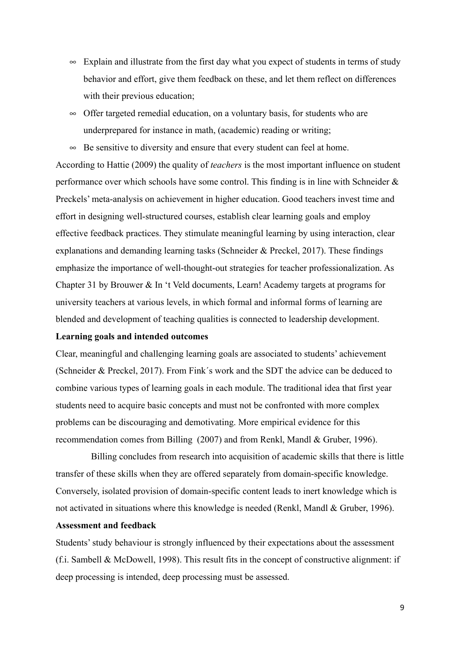- $\infty$  Explain and illustrate from the first day what you expect of students in terms of study behavior and effort, give them feedback on these, and let them reflect on differences with their previous education;
- $\infty$  Offer targeted remedial education, on a voluntary basis, for students who are underprepared for instance in math, (academic) reading or writing;

 $\infty$  Be sensitive to diversity and ensure that every student can feel at home. According to Hattie (2009) the quality of *teachers* is the most important influence on student performance over which schools have some control. This finding is in line with Schneider & Preckels' meta-analysis on achievement in higher education. Good teachers invest time and effort in designing well-structured courses, establish clear learning goals and employ effective feedback practices. They stimulate meaningful learning by using interaction, clear explanations and demanding learning tasks (Schneider & Preckel, 2017). These findings emphasize the importance of well-thought-out strategies for teacher professionalization. As Chapter 31 by Brouwer & In 't Veld documents, Learn! Academy targets at programs for university teachers at various levels, in which formal and informal forms of learning are blended and development of teaching qualities is connected to leadership development.

# **Learning goals and intended outcomes**

Clear, meaningful and challenging learning goals are associated to students' achievement (Schneider & Preckel, 2017). From Fink´s work and the SDT the advice can be deduced to combine various types of learning goals in each module. The traditional idea that first year students need to acquire basic concepts and must not be confronted with more complex problems can be discouraging and demotivating. More empirical evidence for this recommendation comes from Billing (2007) and from Renkl, Mandl & Gruber, 1996).

 Billing concludes from research into acquisition of academic skills that there is little transfer of these skills when they are offered separately from domain-specific knowledge. Conversely, isolated provision of domain-specific content leads to inert knowledge which is not activated in situations where this knowledge is needed (Renkl, Mandl & Gruber, 1996).

## **Assessment and feedback**

Students' study behaviour is strongly influenced by their expectations about the assessment (f.i. Sambell & McDowell, 1998). This result fits in the concept of constructive alignment: if deep processing is intended, deep processing must be assessed.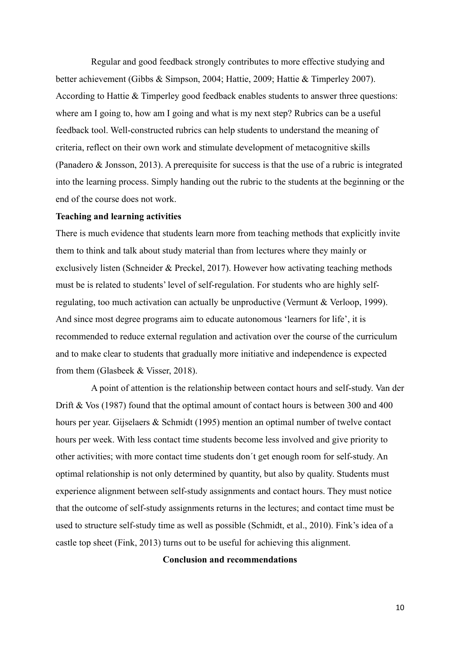Regular and good feedback strongly contributes to more effective studying and better achievement (Gibbs & Simpson, 2004; Hattie, 2009; Hattie & Timperley 2007). According to Hattie & Timperley good feedback enables students to answer three questions: where am I going to, how am I going and what is my next step? Rubrics can be a useful feedback tool. Well-constructed rubrics can help students to understand the meaning of criteria, reflect on their own work and stimulate development of metacognitive skills (Panadero & Jonsson, 2013). A prerequisite for success is that the use of a rubric is integrated into the learning process. Simply handing out the rubric to the students at the beginning or the end of the course does not work.

#### **Teaching and learning activities**

There is much evidence that students learn more from teaching methods that explicitly invite them to think and talk about study material than from lectures where they mainly or exclusively listen (Schneider & Preckel, 2017). However how activating teaching methods must be is related to students' level of self-regulation. For students who are highly selfregulating, too much activation can actually be unproductive (Vermunt & Verloop, 1999). And since most degree programs aim to educate autonomous 'learners for life', it is recommended to reduce external regulation and activation over the course of the curriculum and to make clear to students that gradually more initiative and independence is expected from them (Glasbeek & Visser, 2018).

 A point of attention is the relationship between contact hours and self-study. Van der Drift & Vos (1987) found that the optimal amount of contact hours is between 300 and 400 hours per year. Gijselaers & Schmidt (1995) mention an optimal number of twelve contact hours per week. With less contact time students become less involved and give priority to other activities; with more contact time students don´t get enough room for self-study. An optimal relationship is not only determined by quantity, but also by quality. Students must experience alignment between self-study assignments and contact hours. They must notice that the outcome of self-study assignments returns in the lectures; and contact time must be used to structure self-study time as well as possible (Schmidt, et al., 2010). Fink's idea of a castle top sheet (Fink, 2013) turns out to be useful for achieving this alignment.

**Conclusion and recommendations**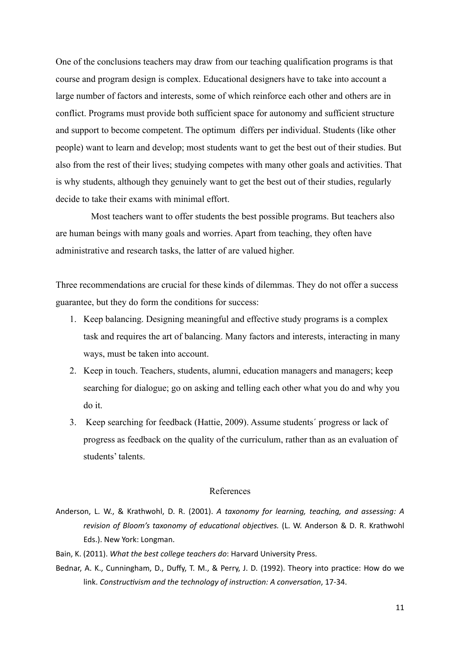One of the conclusions teachers may draw from our teaching qualification programs is that course and program design is complex. Educational designers have to take into account a large number of factors and interests, some of which reinforce each other and others are in conflict. Programs must provide both sufficient space for autonomy and sufficient structure and support to become competent. The optimum differs per individual. Students (like other people) want to learn and develop; most students want to get the best out of their studies. But also from the rest of their lives; studying competes with many other goals and activities. That is why students, although they genuinely want to get the best out of their studies, regularly decide to take their exams with minimal effort.

 Most teachers want to offer students the best possible programs. But teachers also are human beings with many goals and worries. Apart from teaching, they often have administrative and research tasks, the latter of are valued higher.

Three recommendations are crucial for these kinds of dilemmas. They do not offer a success guarantee, but they do form the conditions for success:

- 1. Keep balancing. Designing meaningful and effective study programs is a complex task and requires the art of balancing. Many factors and interests, interacting in many ways, must be taken into account.
- 2. Keep in touch. Teachers, students, alumni, education managers and managers; keep searching for dialogue; go on asking and telling each other what you do and why you do it.
- 3. Keep searching for feedback (Hattie, 2009). Assume students´ progress or lack of progress as feedback on the quality of the curriculum, rather than as an evaluation of students' talents.

#### References

- Anderson, L. W., & Krathwohl, D. R. (2001). *[A taxonomy for learning, teaching, and assessing: A](http://dx.doi.org/10.1006/ceps.1999.1020)*  revision of Bloom's taxonomy of educational objectives. (L. W. Anderson & D. R. Krathwohl [Eds.\). New York: Longman.](http://dx.doi.org/10.1006/ceps.1999.1020)
- Bain, K. (2011). *[What the best college teachers do](http://dx.doi.org/10.1006/ceps.1999.1020)*: Harvard University Press.
- Bednar, A. K., Cunningham, D., Duffy, T. M., & Perry, J. D. (1992). Theory into practice: How do we link. *Constructivism and the technology of instruction: A conversation*, 17-34.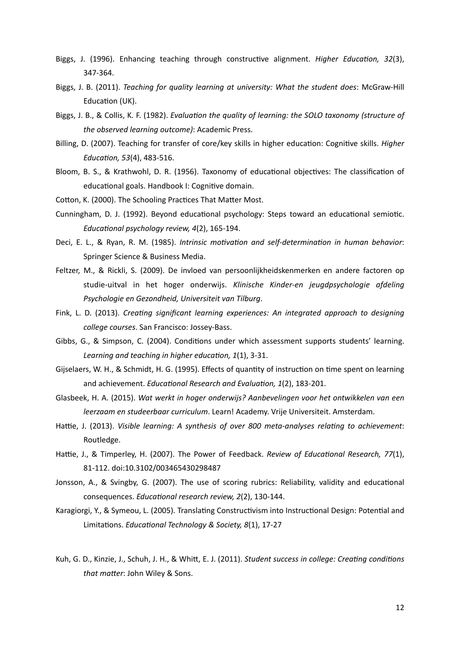- Biggs, J. (1996). Enhancing teaching through constructive alignment. *Higher Education*, 32(3), [347-364.](http://dx.doi.org/10.1006/ceps.1999.1020)
- Biggs, J. B. (2011). *[Teaching for quality learning at university: What the student does](http://dx.doi.org/10.1006/ceps.1999.1020)*: McGraw-Hill Education (UK).
- Biggs, J. B., & Collis, K. F. (1982). *Evaluation the quality of learning: the SOLO taxonomy (structure of [the observed learning outcome\)](http://dx.doi.org/10.1006/ceps.1999.1020)*: Academic Press.
- Billing, D. (2007). Teaching for transfer of core/key skills in higher education: Cognitive skills. *Higher Education, 53(4), 483-516.*
- Bloom, B. S., & Krathwohl, D. R. (1956). Taxonomy of educational objectives: The classification of educational goals. Handbook I: Cognitive domain.
- Cotton, K. (2000). The Schooling Practices That Matter Most.
- Cunningham, D. J. (1992). Beyond educational psychology: Steps toward an educational semiotic. *Educational psychology review, 4(2), 165-194.*
- Deci, E. L., & Ryan, R. M. (1985). *Intrinsic motivation and self-determination in human behavior*: [Springer Science & Business Media.](http://dx.doi.org/10.1006/ceps.1999.1020)
- [Feltzer, M., & Rickli, S. \(2009\). De invloed van persoonlijkheidskenmerken en andere factoren op](http://dx.doi.org/10.1006/ceps.1999.1020) studie-uitval in het hoger onderwijs. *[Klinische Kinder-en jeugdpsychologie afdeling](http://dx.doi.org/10.1006/ceps.1999.1020) [Psychologie en Gezondheid, Universiteit van Tilburg](http://dx.doi.org/10.1006/ceps.1999.1020)*.
- Fink, L. D. (2013). *Creating significant learning experiences: An integrated approach to designing college courses*[. San Francisco: Jossey-Bass.](http://dx.doi.org/10.1006/ceps.1999.1020)
- Gibbs, G., & Simpson, C. (2004). Conditions under which assessment supports students' learning. Learning and teaching in higher education, 1(1), 3-31.
- Gijselaers, W. H., & Schmidt, H. G. (1995). Effects of quantity of instruction on time spent on learning and achievement. *Educational Research and Evaluation*, 1(2), 183-201.
- Glasbeek, H. A. (2015). *[Wat werkt in hoger onderwijs? Aanbevelingen voor het ontwikkelen van een](http://dx.doi.org/10.1006/ceps.1999.1020) leerzaam en studeerbaar curriculum*[. Learn! Academy. Vrije Universiteit. Amsterdam.](http://dx.doi.org/10.1006/ceps.1999.1020)
- Hattie, J. (2013). *Visible learning: A synthesis of over 800 meta-analyses relating to achievement*: [Routledge.](http://dx.doi.org/10.1006/ceps.1999.1020)
- Hattie, J., & Timperley, H. (2007). The Power of Feedback. *Review of Educational Research, 77*(1), [81-112. doi:10.3102/003465430298487](http://dx.doi.org/10.1006/ceps.1999.1020)
- Jonsson, A., & Svingby, G. (2007). The use of scoring rubrics: Reliability, validity and educational consequences. *Educational research review, 2*(2), 130-144.
- Karagiorgi, Y., & Symeou, L. (2005). Translating Constructivism into Instructional Design: Potential and Limitations. *Educational Technology & Society, 8*(1), 17-27
- Kuh, G. D., Kinzie, J., Schuh, J. H., & Whitt, E. J. (2011). *Student success in college: Creating conditions that matter: John Wiley & Sons.*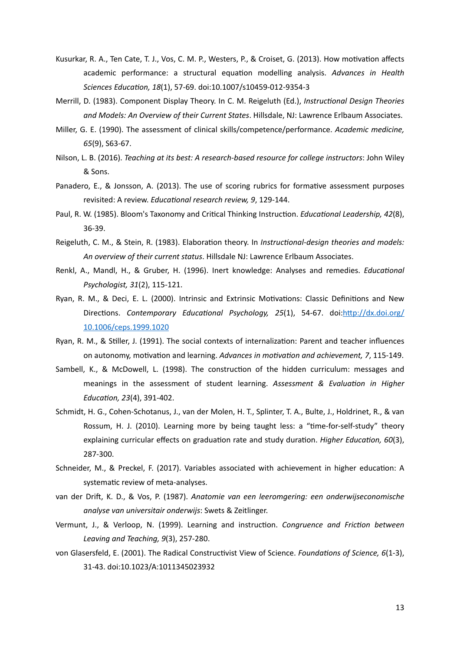- Kusurkar, R. A., Ten Cate, T. J., Vos, C. M. P., Westers, P., & Croiset, G. (2013). How motivation affects academic performance: a structural equation modelling analysis. Advances in Health Sciences Education, 18(1), 57-69. doi:10.1007/s10459-012-9354-3
- [Merrill, D. \(1983\). Component Display Theory. In C. M. Reigeluth \(Ed.\),](http://dx.doi.org/10.1006/ceps.1999.1020) *Instructional Design Theories [and Models: An Overview of their Current States](http://dx.doi.org/10.1006/ceps.1999.1020)*. Hillsdale, NJ: Lawrence Erlbaum Associates.
- [Miller, G. E. \(1990\). The assessment of clinical skills/competence/performance.](http://dx.doi.org/10.1006/ceps.1999.1020) *Academic medicine, 65*[\(9\), S63-67.](http://dx.doi.org/10.1006/ceps.1999.1020)
- Nilson, L. B. (2016). *[Teaching at its best: A research-based resource for college instructors](http://dx.doi.org/10.1006/ceps.1999.1020)*: John Wiley [& Sons.](http://dx.doi.org/10.1006/ceps.1999.1020)
- Panadero, E., & Jonsson, A. (2013). The use of scoring rubrics for formative assessment purposes revisited: A review. *Educational research review, 9, 129-144*.
- Paul, R. W. (1985). Bloom's Taxonomy and Critical Thinking Instruction. *Educational Leadership, 42*(8), [36-39.](http://dx.doi.org/10.1006/ceps.1999.1020)
- Reigeluth, C. M., & Stein, R. (1983). Elaboration theory. In *Instructional-design theories and models: An overview of their current status*[. Hillsdale NJ: Lawrence Erlbaum Associates.](http://dx.doi.org/10.1006/ceps.1999.1020)
- [Renkl, A., Mandl, H., & Gruber, H. \(1996\). Inert knowledge: Analyses and remedies.](http://dx.doi.org/10.1006/ceps.1999.1020) *Educational [Psychologist, 31](http://dx.doi.org/10.1006/ceps.1999.1020)*(2), 115-121.
- Ryan, R. M., & Deci, E. L. (2000). Intrinsic and Extrinsic Motivations: Classic Definitions and New Directions. *Contemporary Educational Psychology, 25*(1), 54-67. doi:http://dx.doi.org/ [10.1006/ceps.1999.1020](http://dx.doi.org/10.1006/ceps.1999.1020)
- Ryan, R. M., & Stiller, J. (1991). The social contexts of internalization: Parent and teacher influences on autonomy, motivation and learning. *Advances in motivation and achievement, 7*, 115-149.
- Sambell, K., & McDowell, L. (1998). The construction of the hidden curriculum: messages and meanings in the assessment of student learning. Assessment & Evaluation in Higher *Education, 23*(4), 391-402.
- Schmidt, H. G., Cohen-Schotanus, J., van der Molen, H. T., Splinter, T. A., Bulte, J., Holdrinet, R., & van Rossum, H. J. (2010). Learning more by being taught less: a "time-for-self-study" theory explaining curricular effects on graduation rate and study duration. *Higher Education, 60*(3), 287-300.
- Schneider, M., & Preckel, F. (2017). Variables associated with achievement in higher education: A systematic review of meta-analyses.
- van der Drift, K. D., & Vos, P. (1987). *Anatomie van een leeromgering: een onderwijseconomische analyse van universitair onderwijs*: Swets & Zeitlinger.
- Vermunt, J., & Verloop, N. (1999). Learning and instruction. *Congruence and Friction between Leaving and Teaching, 9*(3), 257-280.
- von Glasersfeld, E. (2001). The Radical Constructivist View of Science. *Foundations of Science*, 6(1-3), 31-43. doi:10.1023/A:1011345023932